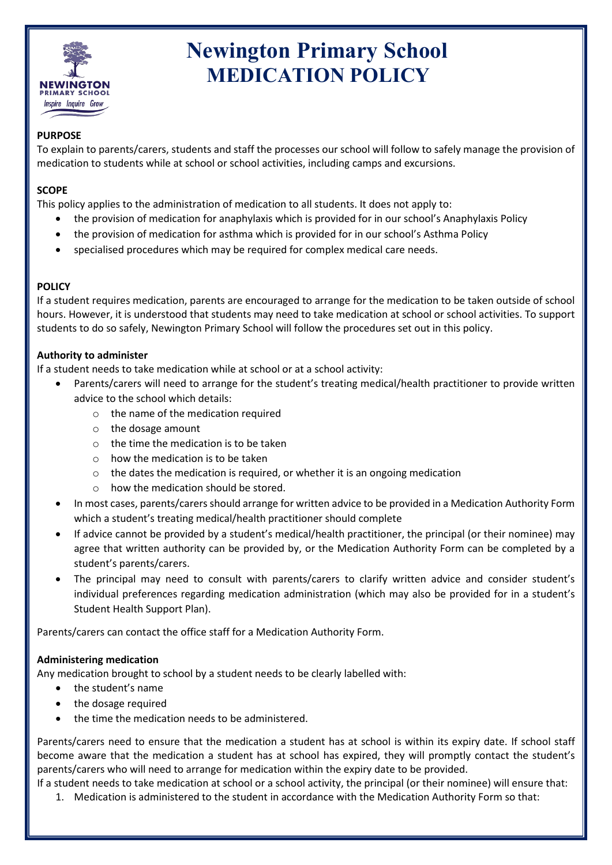

# **Newington Primary School MEDICATION POLICY**

# **PURPOSE**

To explain to parents/carers, students and staff the processes our school will follow to safely manage the provision of medication to students while at school or school activities, including camps and excursions.

# **SCOPE**

This policy applies to the administration of medication to all students. It does not apply to:

- the provision of medication for anaphylaxis which is provided for in our school's Anaphylaxis Policy
- the provision of medication for asthma which is provided for in our school's Asthma Policy
- specialised procedures which may be required for complex medical care needs.

# **POLICY**

If a student requires medication, parents are encouraged to arrange for the medication to be taken outside of school hours. However, it is understood that students may need to take medication at school or school activities. To support students to do so safely, Newington Primary School will follow the procedures set out in this policy.

#### **Authority to administer**

If a student needs to take medication while at school or at a school activity:

- Parents/carers will need to arrange for the student's treating medical/health practitioner to provide written advice to the school which details:
	- o the name of the medication required
	- o the dosage amount
	- $\circ$  the time the medication is to be taken
	- $\circ$  how the medication is to be taken
	- o the dates the medication is required, or whether it is an ongoing medication
	- o how the medication should be stored.
- In most cases, parents/carers should arrange for written advice to be provided in a Medication Authority Form which a student's treating medical/health practitioner should complete
- If advice cannot be provided by a student's medical/health practitioner, the principal (or their nominee) may agree that written authority can be provided by, or the Medication Authority Form can be completed by a student's parents/carers.
- The principal may need to consult with parents/carers to clarify written advice and consider student's individual preferences regarding medication administration (which may also be provided for in a student's Student Health Support Plan).

Parents/carers can contact the office staff for a Medication Authority Form.

#### **Administering medication**

Any medication brought to school by a student needs to be clearly labelled with:

- the student's name
- the dosage required
- the time the medication needs to be administered.

Parents/carers need to ensure that the medication a student has at school is within its expiry date. If school staff become aware that the medication a student has at school has expired, they will promptly contact the student's parents/carers who will need to arrange for medication within the expiry date to be provided.

If a student needs to take medication at school or a school activity, the principal (or their nominee) will ensure that:

1. Medication is administered to the student in accordance with the Medication Authority Form so that: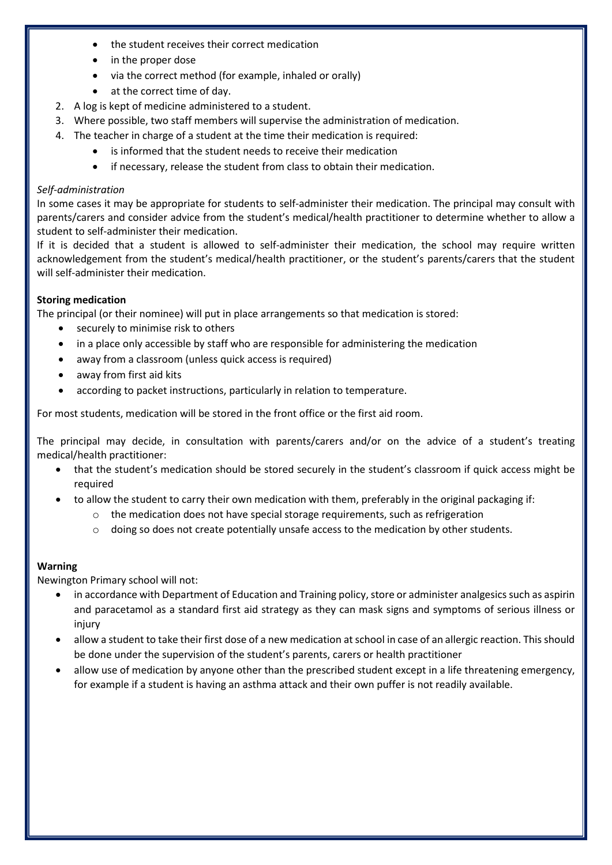- the student receives their correct medication
- in the proper dose
- via the correct method (for example, inhaled or orally)
- at the correct time of day.
- 2. A log is kept of medicine administered to a student.
- 3. Where possible, two staff members will supervise the administration of medication.
- 4. The teacher in charge of a student at the time their medication is required:
	- is informed that the student needs to receive their medication
	- if necessary, release the student from class to obtain their medication.

#### *Self-administration*

In some cases it may be appropriate for students to self-administer their medication. The principal may consult with parents/carers and consider advice from the student's medical/health practitioner to determine whether to allow a student to self-administer their medication.

If it is decided that a student is allowed to self-administer their medication, the school may require written acknowledgement from the student's medical/health practitioner, or the student's parents/carers that the student will self-administer their medication.

#### **Storing medication**

The principal (or their nominee) will put in place arrangements so that medication is stored:

- securely to minimise risk to others
- in a place only accessible by staff who are responsible for administering the medication
- away from a classroom (unless quick access is required)
- away from first aid kits
- according to packet instructions, particularly in relation to temperature.

For most students, medication will be stored in the front office or the first aid room.

The principal may decide, in consultation with parents/carers and/or on the advice of a student's treating medical/health practitioner:

- that the student's medication should be stored securely in the student's classroom if quick access might be required
	- to allow the student to carry their own medication with them, preferably in the original packaging if:
		- $\circ$  the medication does not have special storage requirements, such as refrigeration
		- $\circ$  doing so does not create potentially unsafe access to the medication by other students.

#### **Warning**

Newington Primary school will not:

- in accordance with Department of Education and Training policy, store or administer analgesics such as aspirin and paracetamol as a standard first aid strategy as they can mask signs and symptoms of serious illness or injury
- allow a student to take their first dose of a new medication at school in case of an allergic reaction. This should be done under the supervision of the student's parents, carers or health practitioner
- allow use of medication by anyone other than the prescribed student except in a life threatening emergency, for example if a student is having an asthma attack and their own puffer is not readily available.